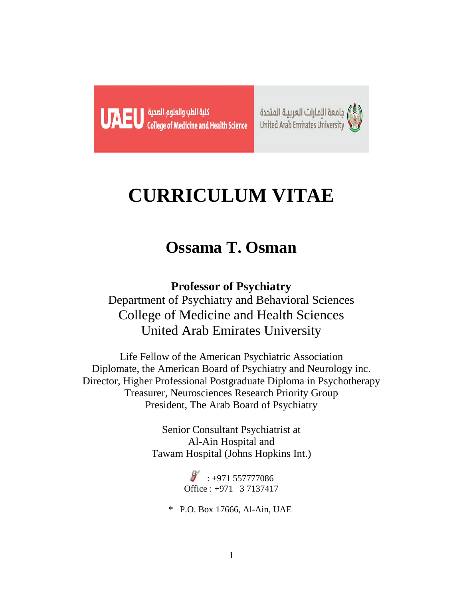



# **CURRICULUM VITAE**

## **Ossama T. Osman**

**Professor of Psychiatry** Department of Psychiatry and Behavioral Sciences College of Medicine and Health Sciences United Arab Emirates University

Life Fellow of the American Psychiatric Association Diplomate, the American Board of Psychiatry and Neurology inc. Director, Higher Professional Postgraduate Diploma in Psychotherapy Treasurer, Neurosciences Research Priority Group President, The Arab Board of Psychiatry

> Senior Consultant Psychiatrist at Al-Ain Hospital and Tawam Hospital (Johns Hopkins Int.)

> > $\frac{1}{2}$ : +971 557777086 Office : +971 3 7137417

\* P.O. Box 17666, Al-Ain, UAE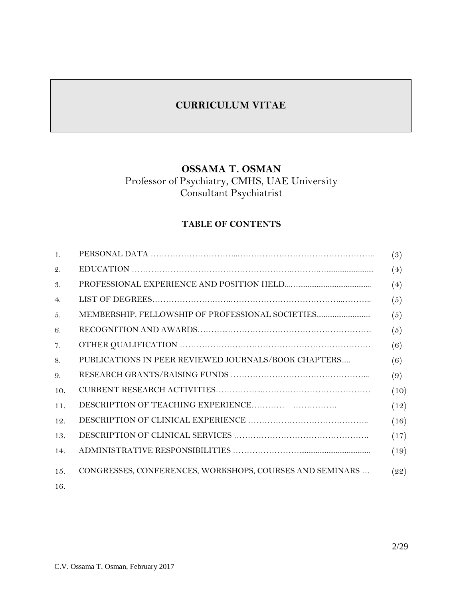## **CURRICULUM VITAE**

## **OSSAMA T. OSMAN**

## Professor of Psychiatry, CMHS, UAE University Consultant Psychiatrist

## **TABLE OF CONTENTS**

| $\mathbf{1}$ .  |                                                          | (3)  |
|-----------------|----------------------------------------------------------|------|
| $\mathcal{Q}$ . |                                                          | (4)  |
| 3.              |                                                          | (4)  |
| 4.              |                                                          | (5)  |
| 5.              | MEMBERSHIP, FELLOWSHIP OF PROFESSIONAL SOCIETIES         | (5)  |
| 6.              |                                                          | (5)  |
| 7.              |                                                          | (6)  |
| 8.              | PUBLICATIONS IN PEER REVIEWED JOURNALS/BOOK CHAPTERS     | (6)  |
| $\Omega$ .      |                                                          | (9)  |
| 10.             |                                                          | (10) |
| 11.             |                                                          | (12) |
| 12.             |                                                          | (16) |
| 13.             |                                                          | (17) |
| 14.             |                                                          | (19) |
| 15.             | CONGRESSES, CONFERENCES, WORKSHOPS, COURSES AND SEMINARS | (22) |
| 16.             |                                                          |      |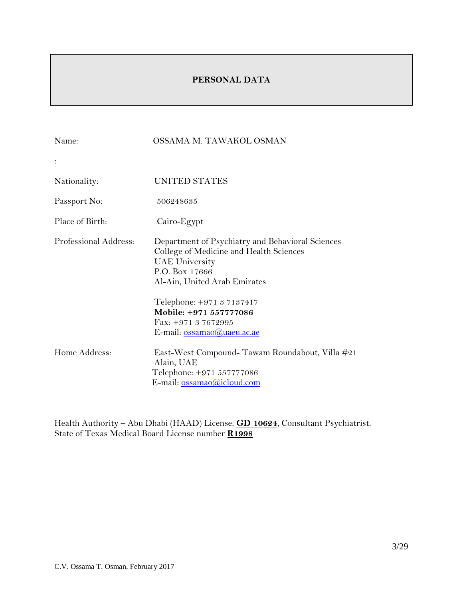## **PERSONAL DATA**

| Name:                 | OSSAMA M. TAWAKOL OSMAN                                                                                                                                                                                                                                                            |
|-----------------------|------------------------------------------------------------------------------------------------------------------------------------------------------------------------------------------------------------------------------------------------------------------------------------|
|                       |                                                                                                                                                                                                                                                                                    |
| Nationality:          | UNITED STATES                                                                                                                                                                                                                                                                      |
| Passport No:          | 506248635                                                                                                                                                                                                                                                                          |
| Place of Birth:       | Cairo-Egypt                                                                                                                                                                                                                                                                        |
| Professional Address: | Department of Psychiatry and Behavioral Sciences<br>College of Medicine and Health Sciences<br><b>UAE</b> University<br>P.O. Box 17666<br>Al-Ain, United Arab Emirates<br>Telephone: +971 3 7137417<br>Mobile: +971 557777086<br>Fax: $+97137672995$<br>E-mail: ossamao@uaeu.ac.ae |
| Home Address:         | East-West Compound- Tawam Roundabout, Villa #21<br>Alain, UAE<br>Telephone: +971 557777086<br>E-mail: ossamao@icloud.com                                                                                                                                                           |

Health Authority – Abu Dhabi (HAAD) License: **GD 10624**, Consultant Psychiatrist. State of Texas Medical Board License number **R1998**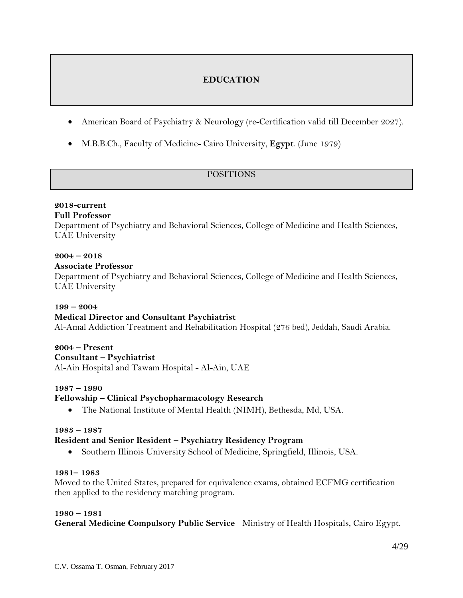## **EDUCATION**

- American Board of Psychiatry & Neurology (re-Certification valid till December 2027).
- M.B.B.Ch., Faculty of Medicine- Cairo University, **Egypt**. (June 1979)

## POSITIONS

## **2018-current**

## **Full Professor**

Department of Psychiatry and Behavioral Sciences, College of Medicine and Health Sciences, UAE University

## **2004 – 2018**

#### **Associate Professor**

Department of Psychiatry and Behavioral Sciences, College of Medicine and Health Sciences, UAE University

#### **199 – 2004**

## **Medical Director and Consultant Psychiatrist**

Al-Amal Addiction Treatment and Rehabilitation Hospital (276 bed), Jeddah, Saudi Arabia.

## **2004 – Present**

#### **Consultant – Psychiatrist**

Al-Ain Hospital and Tawam Hospital - Al-Ain, UAE

## **1987 – 1990**

## **Fellowship – Clinical Psychopharmacology Research**

• The National Institute of Mental Health (NIMH), Bethesda, Md, USA.

#### **1983 – 1987**

## **Resident and Senior Resident – Psychiatry Residency Program**

• Southern Illinois University School of Medicine, Springfield, Illinois, USA.

#### **1981– 1983**

Moved to the United States, prepared for equivalence exams, obtained ECFMG certification then applied to the residency matching program.

#### **1980 – 1981**

**General Medicine Compulsory Public Service** Ministry of Health Hospitals, Cairo Egypt.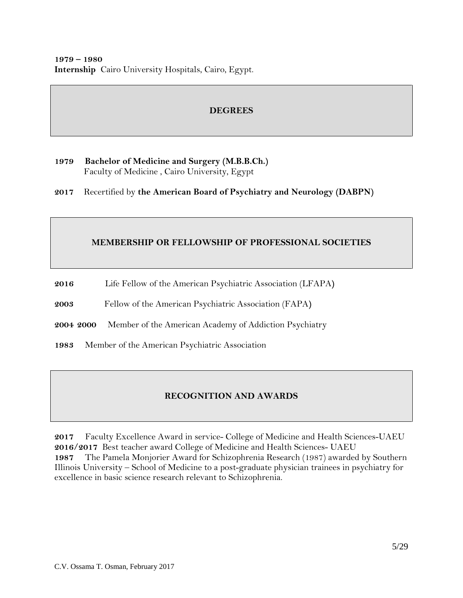## **DEGREES**

**1979 Bachelor of Medicine and Surgery (M.B.B.Ch.)** Faculty of Medicine , Cairo University, Egypt

**2017** Recertified by **the American Board of Psychiatry and Neurology (DABPN)**

## **MEMBERSHIP OR FELLOWSHIP OF PROFESSIONAL SOCIETIES**

- **2016** Life Fellow of the American Psychiatric Association (LFAPA**)**
- **2003** Fellow of the American Psychiatric Association (FAPA**)**
- **2004 2000** Member of the American Academy of Addiction Psychiatry
- **1983** Member of the American Psychiatric Association

## **RECOGNITION AND AWARDS**

**2017** Faculty Excellence Award in service- College of Medicine and Health Sciences-UAEU **2016/2017** Best teacher award College of Medicine and Health Sciences- UAEU **1987** The Pamela Monjorier Award for Schizophrenia Research (1987) awarded by Southern Illinois University – School of Medicine to a post-graduate physician trainees in psychiatry for excellence in basic science research relevant to Schizophrenia.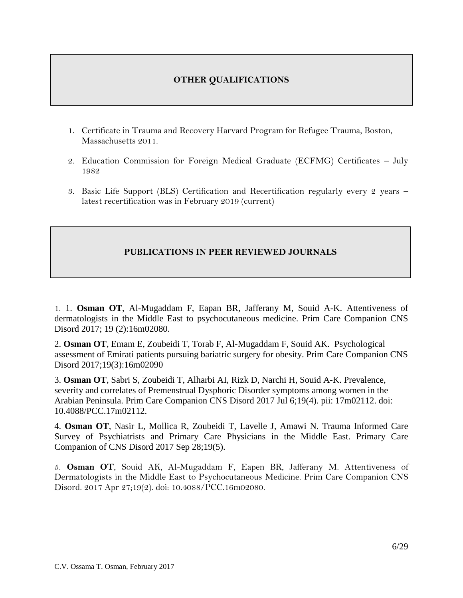## **OTHER QUALIFICATIONS**

- 1. Certificate in Trauma and Recovery Harvard Program for Refugee Trauma, Boston, Massachusetts 2011.
- 2. Education Commission for Foreign Medical Graduate (ECFMG) Certificates July 1982
- 3. Basic Life Support (BLS) Certification and Recertification regularly every 2 years latest recertification was in February 2019 (current)

## **PUBLICATIONS IN PEER REVIEWED JOURNALS**

1. 1. **Osman OT**, Al-Mugaddam F, Eapan BR, Jafferany M, Souid A-K. Attentiveness of dermatologists in the Middle East to psychocutaneous medicine. Prim Care Companion CNS Disord 2017; 19 (2):16m02080.

2. **Osman OT**, Emam E, Zoubeidi T, Torab F, Al-Mugaddam F, Souid AK. Psychological assessment of Emirati patients pursuing bariatric surgery for obesity. Prim Care Companion CNS Disord 2017;19(3):16m02090

3. **Osman OT**, Sabri S, Zoubeidi T, Alharbi AI, Rizk D, Narchi H, Souid A-K. Prevalence, severity and correlates of Premenstrual Dysphoric Disorder symptoms among women in the Arabian Peninsula. Prim Care Companion CNS Disord 2017 Jul 6;19(4). pii: 17m02112. doi: 10.4088/PCC.17m02112.

4. **Osman OT**, Nasir L, Mollica R, Zoubeidi T, Lavelle J, Amawi N. Trauma Informed Care Survey of Psychiatrists and Primary Care Physicians in the Middle East. Primary Care Companion of CNS Disord 2017 Sep 28;19(5).

5. **Osman OT**, Souid AK, Al-Mugaddam F, Eapen BR, Jafferany M. [Attentiveness of](https://www-ncbi-nlm-nih-gov.ezproxy.uaeu.ac.ae/pubmed/28453238)  [Dermatologists in the Middle East to Psychocutaneous Medicine.](https://www-ncbi-nlm-nih-gov.ezproxy.uaeu.ac.ae/pubmed/28453238) Prim Care Companion CNS Disord. 2017 Apr 27;19(2). doi: 10.4088/PCC.16m02080.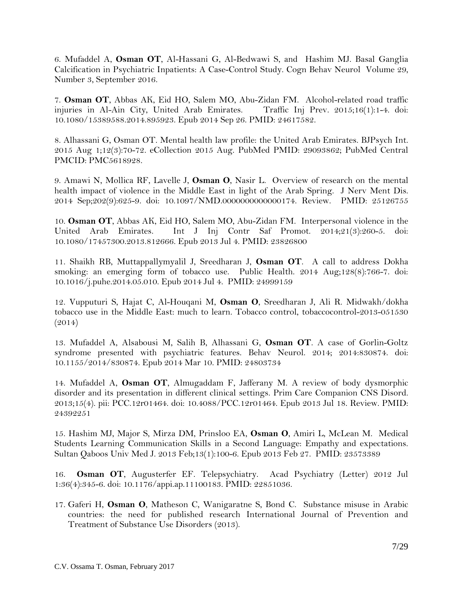6. Mufaddel A, **Osman OT**, Al-Hassani G, Al-Bedwawi S, and Hashim MJ. Basal Ganglia Calcification in Psychiatric Inpatients: A Case-Control Study. Cogn Behav Neurol Volume 29, Number 3, September 2016.

7. **Osman OT**, Abbas AK, Eid HO, Salem MO, Abu-Zidan FM. Alcohol-related road traffic injuries in Al-Ain City, United Arab Emirates. Traffic Inj Prev. 2015;16(1):1-4. doi: 10.1080/15389588.2014.895923. Epub 2014 Sep 26. PMID: 24617582.

8. Alhassani G, Osman OT. Mental health law profile: the United Arab Emirates. BJPsych Int. 2015 Aug 1;12(3):70-72. eCollection 2015 Aug. PubMed PMID: 29093862; PubMed Central PMCID: PMC5618928.

9. Amawi N, Mollica RF, Lavelle J, **Osman O**, Nasir L. Overview of research on the mental health impact of violence in the Middle East in light of the Arab Spring. J Nerv Ment Dis. 2014 Sep;202(9):625-9. doi: 10.1097/NMD.0000000000000174. Review. PMID: 25126755

10. **Osman OT**, Abbas AK, Eid HO, Salem MO, Abu-Zidan FM. Interpersonal violence in the United Arab Emirates. Int J Inj Contr Saf Promot. 2014;21(3):260-5. doi: 10.1080/17457300.2013.812666. Epub 2013 Jul 4. PMID: 23826800

11. Shaikh RB, Muttappallymyalil J, Sreedharan J, **Osman OT**. A call to address Dokha smoking: an emerging form of tobacco use. Public Health. 2014 Aug;128(8):766-7. doi: 10.1016/j.puhe.2014.05.010. Epub 2014 Jul 4. PMID: 24999159

12. Vupputuri S, Hajat C, Al-Houqani M, **Osman O**, Sreedharan J, Ali R. Midwakh/dokha tobacco use in the Middle East: much to learn. Tobacco control, tobaccocontrol-2013-051530 (2014)

13. Mufaddel A, Alsabousi M, Salih B, Alhassani G, **Osman OT**. A case of Gorlin-Goltz syndrome presented with psychiatric features. Behav Neurol. 2014; 2014:830874. doi: 10.1155/2014/830874. Epub 2014 Mar 10. PMID: 24803734

14. Mufaddel A, **Osman OT**, Almugaddam F, Jafferany M. A review of body dysmorphic disorder and its presentation in different clinical settings. Prim Care Companion CNS Disord. 2013;15(4). pii: PCC.12r01464. doi: 10.4088/PCC.12r01464. Epub 2013 Jul 18. Review. PMID: 24392251

15. Hashim MJ, Major S, Mirza DM, Prinsloo EA, **Osman O**, Amiri L, McLean M. Medical Students Learning Communication Skills in a Second Language: Empathy and expectations. Sultan Qaboos Univ Med J. 2013 Feb;13(1):100-6. Epub 2013 Feb 27. PMID: 23573389

16. **Osman OT**, Augusterfer EF. Telepsychiatry. Acad Psychiatry (Letter) 2012 Jul 1:36(4):345-6. doi: 10.1176/appi.ap.11100183. PMID: 22851036.

17. Gaferi H, **Osman O**, Matheson C, Wanigaratne S, Bond C. Substance misuse in Arabic countries: the need for published research International Journal of Prevention and Treatment of Substance Use Disorders (2013).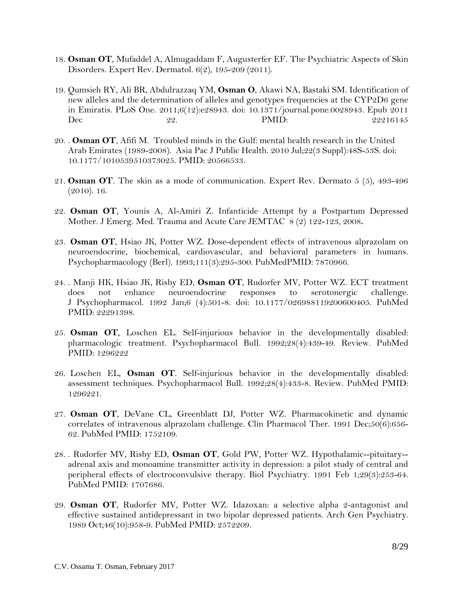- 18. **Osman OT**, Mufaddel A, Almugaddam F, Augusterfer EF. The Psychiatric Aspects of Skin Disorders. Expert Rev. Dermatol. 6(2), 195-209 (2011).
- 19. Qumsieh RY, Ali BR, Abdulrazzaq YM, **Osman O**, Akawi NA, Bastaki SM. Identification of new alleles and the determination of alleles and genotypes frequencies at the CYP2D6 gene in Emiratis. PLoS One. 2011;6(12):e28943. doi: 10.1371/journal.pone.0028943. Epub 2011 Dec 22. 22. PMID: 22216145
- 20. . **Osman OT**, Afifi M. Troubled minds in the Gulf: mental health research in the United Arab Emirates (1989-2008). Asia Pac J Public Health. 2010 Jul;22(3 Suppl):48S-53S. doi: 10.1177/1010539510373025. PMID: 20566533.
- 21. **Osman OT**. The skin as a mode of communication. Expert Rev. Dermato 5 (5), 493-496 (2010). 16.
- 22. **Osman OT**, Younis A, Al-Amiri Z. Infanticide Attempt by a Postpartum Depressed Mother. J Emerg. Med. Trauma and Acute Care JEMTAC 8 (2) 122-123, 2008**.**
- 23. **Osman OT**, Hsiao JK, Potter WZ. Dose-dependent effects of intravenous alprazolam on neuroendocrine, biochemical, cardiovascular, and behavioral parameters in humans. Psychopharmacology (Berl). 1993;111(3):295-300. PubMedPMID: 7870966.
- 24. . Manji HK, Hsiao JK, Risby ED, **Osman OT**, Rudorfer MV, Potter WZ. ECT treatment does not enhance neuroendocrine responses to serotonergic challenge. J Psychopharmacol. 1992 Jan;6 (4):501-8. doi: 10.1177/026988119200600405. PubMed PMID: 22291398.
- 25. **Osman OT**, Loschen EL. Self-injurious behavior in the developmentally disabled: pharmacologic treatment. Psychopharmacol Bull. 1992;28(4):439-49. Review. PubMed PMID: 1296222
- 26. Loschen EL, **Osman OT**. Self-injurious behavior in the developmentally disabled: assessment techniques. Psychopharmacol Bull. 1992;28(4):433-8. Review. PubMed PMID: 1296221.
- 27. **Osman OT**, DeVane CL, Greenblatt DJ, Potter WZ. Pharmacokinetic and dynamic correlates of intravenous alprazolam challenge. Clin Pharmacol Ther. 1991 Dec;50(6):656- 62. PubMed PMID: 1752109.
- 28. . Rudorfer MV, Risby ED, **Osman OT**, Gold PW, Potter WZ. Hypothalamic--pituitary- adrenal axis and monoamine transmitter activity in depression: a pilot study of central and peripheral effects of electroconvulsive therapy. Biol Psychiatry. 1991 Feb 1;29(3):253-64. PubMed PMID: 1707686.
- 29. **Osman OT**, Rudorfer MV, Potter WZ. Idazoxan: a selective alpha 2-antagonist and effective sustained antidepressant in two bipolar depressed patients. Arch Gen Psychiatry. 1989 Oct;46(10):958-9. PubMed PMID: 2572209.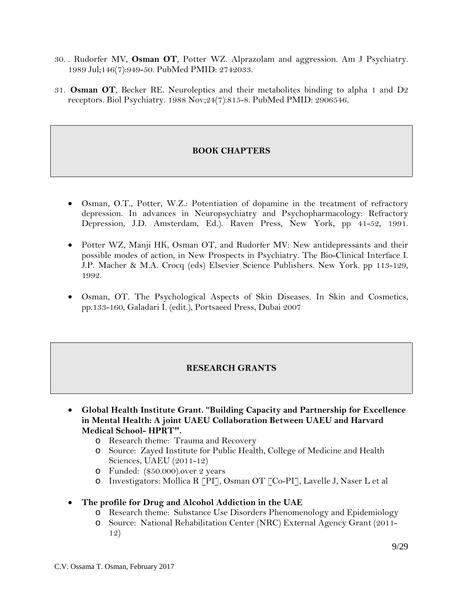- 30. . Rudorfer MV, **Osman OT**, Potter WZ. Alprazolam and aggression. Am J Psychiatry. 1989 Jul;146(7):949-50. PubMed PMID: 2742033.
- 31. **Osman OT**, Becker RE. Neuroleptics and their metabolites binding to alpha 1 and D2 receptors. Biol Psychiatry. 1988 Nov;24(7):815-8. PubMed PMID: 2906546.

## **BOOK CHAPTERS**

- Osman, O.T., Potter, W.Z.: Potentiation of dopamine in the treatment of refractory depression. In advances in Neuropsychiatry and Psychopharmacology: Refractory Depression, J.D. Amsterdam, Ed.). Raven Press, New York, pp 41-52, 1991.
- Potter WZ, Manji HK, Osman OT, and Rudorfer MV: New antidepressants and their possible modes of action, in New Prospects in Psychiatry. The Bio-Clinical Interface I. J.P. Macher & M.A. Crocq (eds) Elsevier Science Publishers. New York. pp 113-129, 1992.
- Osman, OT. The Psychological Aspects of Skin Diseases. In Skin and Cosmetics, pp.133-160, Galadari I. (edit.), Portsaeed Press, Dubai 2007

#### **RESEARCH GRANTS**

- **Global Health Institute Grant. "Building Capacity and Partnership for Excellence in Mental Health: A joint UAEU Collaboration Between UAEU and Harvard Medical School- HPRT".**
	- o Research theme: Trauma and Recovery
	- o Source: Zayed Institute for Public Health, College of Medicine and Health Sciences, UAEU (2011-12)
	- o Funded: (\$50.000).over 2 years
	- o Investigators: Mollica R [PI], Osman OT [Co-PI], Lavelle J, Naser L et al
- **The profile for Drug and Alcohol Addiction in the UAE**
	- o Research theme: Substance Use Disorders Phenomenology and Epidemiology
	- o Source: National Rehabilitation Center (NRC) External Agency Grant (2011- 12)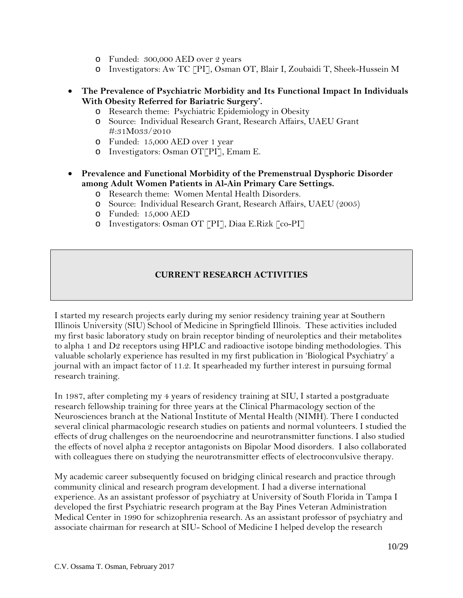- o Funded: 300,000 AED over 2 years
- o Investigators: Aw TC [PI], Osman OT, Blair I, Zoubaidi T, Sheek-Hussein M
- **The Prevalence of Psychiatric Morbidity and Its Functional Impact In Individuals With Obesity Referred for Bariatric Surgery'.**
	- o Research theme: Psychiatric Epidemiology in Obesity
	- o Source: Individual Research Grant, Research Affairs, UAEU Grant #:31M033/2010
	- o Funded: 15,000 AED over 1 year
	- o Investigators: Osman OT[PI], Emam E.
- **Prevalence and Functional Morbidity of the Premenstrual Dysphoric Disorder among Adult Women Patients in Al-Ain Primary Care Settings.**
	- o Research theme: Women Mental Health Disorders.
	- o Source: Individual Research Grant, Research Affairs, UAEU (2005)
	- o Funded: 15,000 AED
	- o Investigators: Osman OT [PI], Diaa E.Rizk [co-PI]

## **CURRENT RESEARCH ACTIVITIES**

I started my research projects early during my senior residency training year at Southern Illinois University (SIU) School of Medicine in Springfield Illinois. These activities included my first basic laboratory study on brain receptor binding of neuroleptics and their metabolites to alpha 1 and D2 receptors using HPLC and radioactive isotope binding methodologies. This valuable scholarly experience has resulted in my first publication in 'Biological Psychiatry' a journal with an impact factor of 11.2. It spearheaded my further interest in pursuing formal research training.

In 1987, after completing my 4 years of residency training at SIU, I started a postgraduate research fellowship training for three years at the Clinical Pharmacology section of the Neurosciences branch at the National Institute of Mental Health (NIMH). There I conducted several clinical pharmacologic research studies on patients and normal volunteers. I studied the effects of drug challenges on the neuroendocrine and neurotransmitter functions. I also studied the effects of novel alpha 2 receptor antagonists on Bipolar Mood disorders. I also collaborated with colleagues there on studying the neurotransmitter effects of electroconvulsive therapy.

My academic career subsequently focused on bridging clinical research and practice through community clinical and research program development. I had a diverse international experience. As an assistant professor of psychiatry at University of South Florida in Tampa I developed the first Psychiatric research program at the Bay Pines Veteran Administration Medical Center in 1990 for schizophrenia research. As an assistant professor of psychiatry and associate chairman for research at SIU- School of Medicine I helped develop the research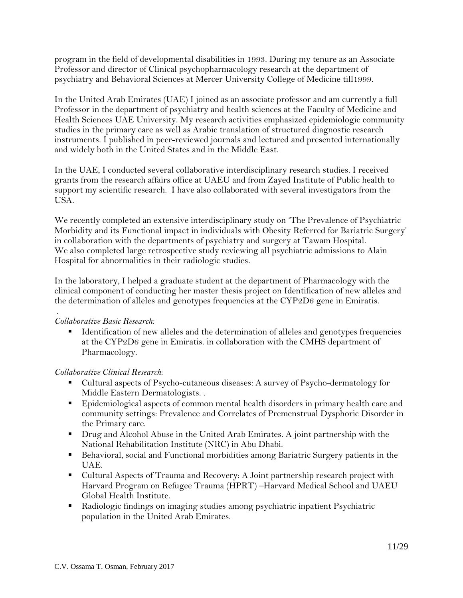program in the field of developmental disabilities in 1993. During my tenure as an Associate Professor and director of Clinical psychopharmacology research at the department of psychiatry and Behavioral Sciences at Mercer University College of Medicine till1999.

In the United Arab Emirates (UAE) I joined as an associate professor and am currently a full Professor in the department of psychiatry and health sciences at the Faculty of Medicine and Health Sciences UAE University. My research activities emphasized epidemiologic community studies in the primary care as well as Arabic translation of structured diagnostic research instruments. I published in peer-reviewed journals and lectured and presented internationally and widely both in the United States and in the Middle East.

In the UAE, I conducted several collaborative interdisciplinary research studies. I received grants from the research affairs office at UAEU and from Zayed Institute of Public health to support my scientific research. I have also collaborated with several investigators from the USA.

We recently completed an extensive interdisciplinary study on 'The Prevalence of Psychiatric Morbidity and its Functional impact in individuals with Obesity Referred for Bariatric Surgery' in collaboration with the departments of psychiatry and surgery at Tawam Hospital. We also completed large retrospective study reviewing all psychiatric admissions to Alain Hospital for abnormalities in their radiologic studies.

In the laboratory, I helped a graduate student at the department of Pharmacology with the clinical component of conducting her master thesis project on Identification of new alleles and the determination of alleles and genotypes frequencies at the CYP2D6 gene in Emiratis.

#### . *Collaborative Basic Research:*

**IDENTIFICATE:** I dentification of new alleles and the determination of alleles and genotypes frequencies at the CYP2D6 gene in Emiratis. in collaboration with the CMHS department of Pharmacology.

## *Collaborative Clinical Research*:

- Cultural aspects of Psycho-cutaneous diseases: A survey of Psycho-dermatology for Middle Eastern Dermatologists. .
- Epidemiological aspects of common mental health disorders in primary health care and community settings: Prevalence and Correlates of Premenstrual Dysphoric Disorder in the Primary care.
- **Drug and Alcohol Abuse in the United Arab Emirates. A joint partnership with the** National Rehabilitation Institute (NRC) in Abu Dhabi.
- Behavioral, social and Functional morbidities among Bariatric Surgery patients in the UAE.
- Cultural Aspects of Trauma and Recovery: A Joint partnership research project with Harvard Program on Refugee Trauma (HPRT) –Harvard Medical School and UAEU Global Health Institute.
- Radiologic findings on imaging studies among psychiatric inpatient Psychiatric population in the United Arab Emirates.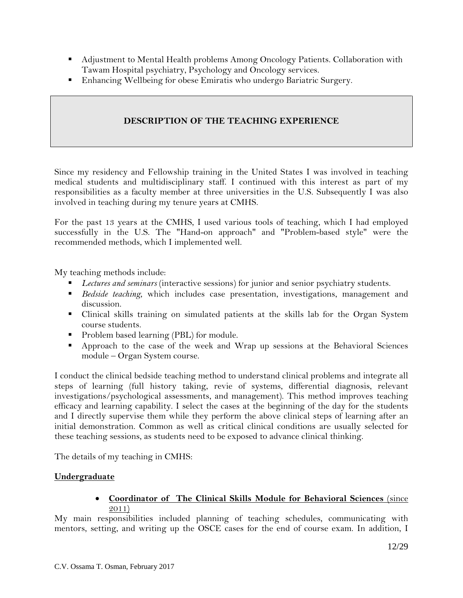- Adjustment to Mental Health problems Among Oncology Patients. Collaboration with Tawam Hospital psychiatry, Psychology and Oncology services.
- Enhancing Wellbeing for obese Emiratis who undergo Bariatric Surgery.

## **DESCRIPTION OF THE TEACHING EXPERIENCE**

Since my residency and Fellowship training in the United States I was involved in teaching medical students and multidisciplinary staff. I continued with this interest as part of my responsibilities as a faculty member at three universities in the U.S. Subsequently I was also involved in teaching during my tenure years at CMHS.

For the past 13 years at the CMHS, I used various tools of teaching, which I had employed successfully in the U.S. The "Hand-on approach" and "Problem-based style" were the recommended methods, which I implemented well.

My teaching methods include:

- *Lectures and seminars* (interactive sessions) for junior and senior psychiatry students.
- *Bedside teaching*, which includes case presentation, investigations, management and discussion.
- Clinical skills training on simulated patients at the skills lab for the Organ System course students.
- **Problem based learning (PBL) for module.**
- Approach to the case of the week and Wrap up sessions at the Behavioral Sciences module – Organ System course.

I conduct the clinical bedside teaching method to understand clinical problems and integrate all steps of learning (full history taking, revie of systems, differential diagnosis, relevant investigations/psychological assessments, and management). This method improves teaching efficacy and learning capability. I select the cases at the beginning of the day for the students and I directly supervise them while they perform the above clinical steps of learning after an initial demonstration. Common as well as critical clinical conditions are usually selected for these teaching sessions, as students need to be exposed to advance clinical thinking.

The details of my teaching in CMHS:

## **Undergraduate**

## • **Coordinator of The Clinical Skills Module for Behavioral Sciences** (since 2011)

My main responsibilities included planning of teaching schedules, communicating with mentors, setting, and writing up the OSCE cases for the end of course exam. In addition, I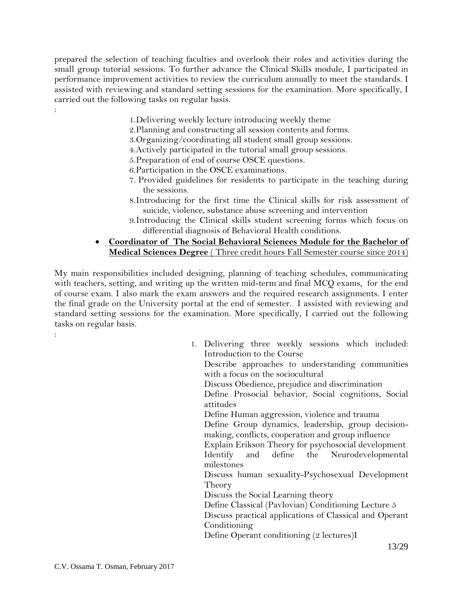prepared the selection of teaching faculties and overlook their roles and activities during the small group tutorial sessions. To further advance the Clinical Skills module, I participated in performance improvement activities to review the curriculum annually to meet the standards. I assisted with reviewing and standard setting sessions for the examination. More specifically, I carried out the following tasks on regular basis.

- 1.Delivering weekly lecture introducing weekly theme
- 2.Planning and constructing all session contents and forms.
- 3.Organizing/coordinating all student small group sessions.
- 4.Actively participated in the tutorial small group sessions.
- 5.Preparation of end of course OSCE questions.
- 6.Participation in the OSCE examinations.
- 7. Provided guidelines for residents to participate in the teaching during the sessions.
- 8.Introducing for the first time the Clinical skills for risk assessment of suicide, violence, substance abuse screening and intervention
- 9.Introducing the Clinical skills student screening forms which focus on differential diagnosis of Behavioral Health conditions.
- **Coordinator of The Social Behavioral Sciences Module for the Bachelor of Medical Sciences Degree** ( Three credit hours Fall Semester course since 2014)

My main responsibilities included designing, planning of teaching schedules, communicating with teachers, setting, and writing up the written mid-term and final MCQ exams, for the end of course exam. I also mark the exam answers and the required research assignments. I enter the final grade on the University portal at the end of semester. I assisted with reviewing and standard setting sessions for the examination. More specifically, I carried out the following tasks on regular basis.

| 1. Delivering three weekly sessions which included:     |
|---------------------------------------------------------|
| Introduction to the Course                              |
| Describe approaches to understanding communities        |
| with a focus on the sociocultural                       |
| Discuss Obedience, prejudice and discrimination         |
| Define Prosocial behavior, Social cognitions, Social    |
| attitudes                                               |
| Define Human aggression, violence and trauma            |
| Define Group dynamics, leadership, group decision-      |
| making, conflicts, cooperation and group influence      |
| Explain Erikson Theory for psychosocial development     |
| Identify and define the Neurodevelopmental              |
| milestones                                              |
| Discuss human sexuality-Psychosexual Development        |
| Theory                                                  |
| Discuss the Social Learning theory                      |
| Define Classical (Pavlovian) Conditioning Lecture 5     |
| Discuss practical applications of Classical and Operant |
| Conditioning                                            |
| Define Operant conditioning (2 lectures)I               |
|                                                         |

:

: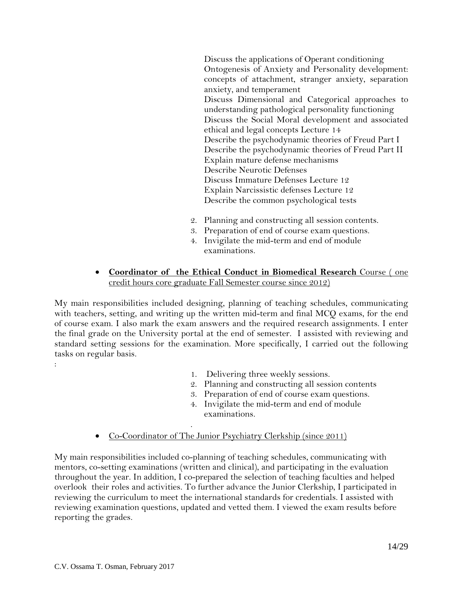Discuss the applications of Operant conditioning Ontogenesis of Anxiety and Personality development: concepts of attachment, stranger anxiety, separation anxiety, and temperament Discuss Dimensional and Categorical approaches to understanding pathological personality functioning Discuss the Social Moral development and associated ethical and legal concepts Lecture 14 Describe the psychodynamic theories of Freud Part I Describe the psychodynamic theories of Freud Part II Explain mature defense mechanisms Describe Neurotic Defenses Discuss Immature Defenses Lecture 12 Explain Narcissistic defenses Lecture 12 Describe the common psychological tests

- 2. Planning and constructing all session contents.
- 3. Preparation of end of course exam questions.
- 4. Invigilate the mid-term and end of module examinations.
- **Coordinator of the Ethical Conduct in Biomedical Research** Course ( one credit hours core graduate Fall Semester course since 2012)

My main responsibilities included designing, planning of teaching schedules, communicating with teachers, setting, and writing up the written mid-term and final MCQ exams, for the end of course exam. I also mark the exam answers and the required research assignments. I enter the final grade on the University portal at the end of semester. I assisted with reviewing and standard setting sessions for the examination. More specifically, I carried out the following tasks on regular basis.

- 1. Delivering three weekly sessions.
- 2. Planning and constructing all session contents
- 3. Preparation of end of course exam questions.
- 4. Invigilate the mid-term and end of module examinations.
- Co-Coordinator of The Junior Psychiatry Clerkship (since 2011)

.

My main responsibilities included co-planning of teaching schedules, communicating with mentors, co-setting examinations (written and clinical), and participating in the evaluation throughout the year. In addition, I co-prepared the selection of teaching faculties and helped overlook their roles and activities. To further advance the Junior Clerkship, I participated in reviewing the curriculum to meet the international standards for credentials. I assisted with reviewing examination questions, updated and vetted them. I viewed the exam results before reporting the grades.

: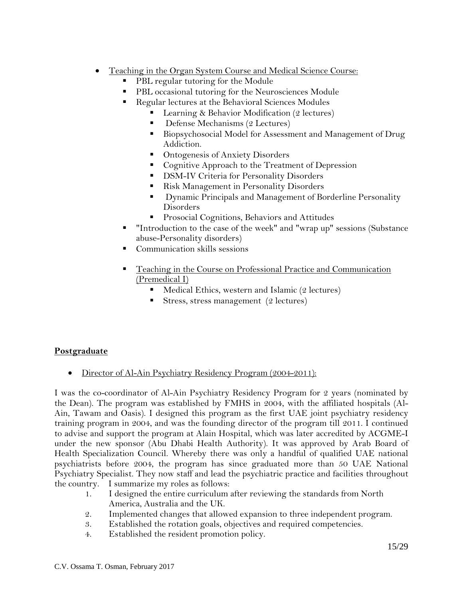- Teaching in the Organ System Course and Medical Science Course:
	- PBL regular tutoring for the Module
	- PBL occasional tutoring for the Neurosciences Module
	- Regular lectures at the Behavioral Sciences Modules
		- Learning & Behavior Modification (2 lectures)
		- Defense Mechanisms (2 Lectures)
		- Biopsychosocial Model for Assessment and Management of Drug Addiction.
		- Ontogenesis of Anxiety Disorders
		- Cognitive Approach to the Treatment of Depression
		- **DSM-IV Criteria for Personality Disorders**
		- Risk Management in Personality Disorders
		- **Dynamic Principals and Management of Borderline Personality** Disorders
		- **Prosocial Cognitions, Behaviors and Attitudes**
	- "Introduction to the case of the week" and "wrap up" sessions (Substance abuse-Personality disorders)
	- Communication skills sessions
	- Teaching in the Course on Professional Practice and Communication (Premedical I)
		- Medical Ethics, western and Islamic (2 lectures)
		- Stress, stress management  $(2 \text{ lectures})$

## **Postgraduate**

• Director of Al-Ain Psychiatry Residency Program (2004-2011):

I was the co-coordinator of Al-Ain Psychiatry Residency Program for 2 years (nominated by the Dean). The program was established by FMHS in 2004, with the affiliated hospitals (Al-Ain, Tawam and Oasis). I designed this program as the first UAE joint psychiatry residency training program in 2004, and was the founding director of the program till 2011. I continued to advise and support the program at Alain Hospital, which was later accredited by ACGME-I under the new sponsor (Abu Dhabi Health Authority). It was approved by Arab Board of Health Specialization Council. Whereby there was only a handful of qualified UAE national psychiatrists before 2004, the program has since graduated more than 50 UAE National Psychiatry Specialist. They now staff and lead the psychiatric practice and facilities throughout the country. I summarize my roles as follows:

- 1. I designed the entire curriculum after reviewing the standards from North America, Australia and the UK.
- 2. Implemented changes that allowed expansion to three independent program.
- 3. Established the rotation goals, objectives and required competencies.
- 4. Established the resident promotion policy.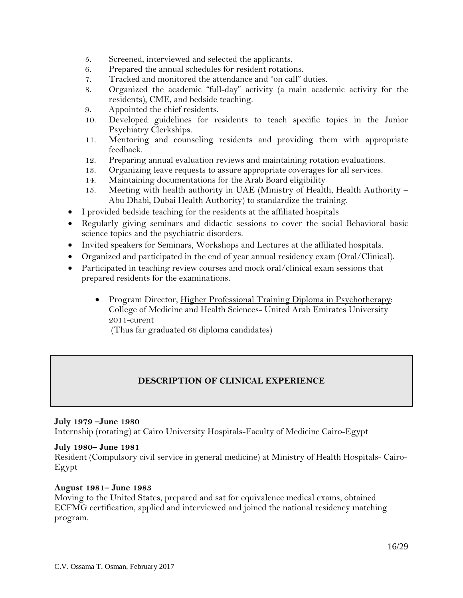- 5. Screened, interviewed and selected the applicants.
- 6. Prepared the annual schedules for resident rotations.
- 7. Tracked and monitored the attendance and "on call" duties.
- 8. Organized the academic "full-day" activity (a main academic activity for the residents), CME, and bedside teaching.
- 9. Appointed the chief residents.
- 10. Developed guidelines for residents to teach specific topics in the Junior Psychiatry Clerkships.
- 11. Mentoring and counseling residents and providing them with appropriate feedback.
- 12. Preparing annual evaluation reviews and maintaining rotation evaluations.
- 13. Organizing leave requests to assure appropriate coverages for all services.
- 14. Maintaining documentations for the Arab Board eligibility
- 15. Meeting with health authority in UAE (Ministry of Health, Health Authority Abu Dhabi, Dubai Health Authority) to standardize the training.
- I provided bedside teaching for the residents at the affiliated hospitals
- Regularly giving seminars and didactic sessions to cover the social Behavioral basic science topics and the psychiatric disorders.
- Invited speakers for Seminars, Workshops and Lectures at the affiliated hospitals.
- Organized and participated in the end of year annual residency exam (Oral/Clinical).
- Participated in teaching review courses and mock oral/clinical exam sessions that prepared residents for the examinations.
	- Program Director, Higher Professional Training Diploma in Psychotherapy: College of Medicine and Health Sciences- United Arab Emirates University 2011-curent

(Thus far graduated 66 diploma candidates)

## **DESCRIPTION OF CLINICAL EXPERIENCE**

#### **July 1979 –June 1980**

Internship (rotating) at Cairo University Hospitals-Faculty of Medicine Cairo-Egypt

#### **July 1980– June 1981**

Resident (Compulsory civil service in general medicine) at Ministry of Health Hospitals- Cairo-Egypt

#### **August 1981– June 1983**

Moving to the United States, prepared and sat for equivalence medical exams, obtained ECFMG certification, applied and interviewed and joined the national residency matching program.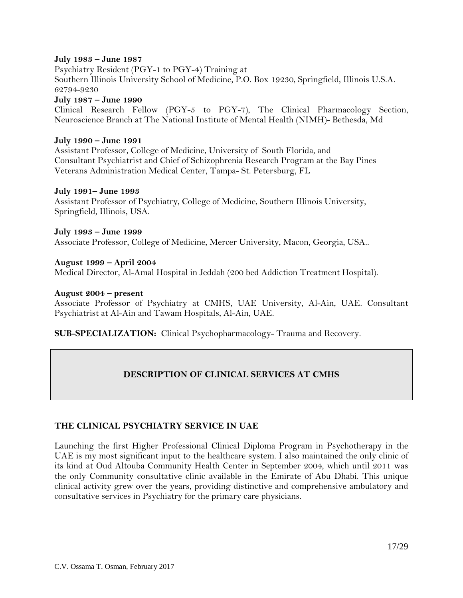#### **July 1983 – June 1987**

Psychiatry Resident (PGY-1 to PGY-4) Training at Southern Illinois University School of Medicine, P.O. Box 19230, Springfield, Illinois U.S.A. 62794-9230

**July 1987 – June 1990**

Clinical Research Fellow (PGY-5 to PGY-7), The Clinical Pharmacology Section, Neuroscience Branch at The National Institute of Mental Health (NIMH)- Bethesda, Md

#### **July 1990 – June 1991**

Assistant Professor, College of Medicine, University of South Florida, and Consultant Psychiatrist and Chief of Schizophrenia Research Program at the Bay Pines Veterans Administration Medical Center, Tampa- St. Petersburg, FL

#### **July 1991– June 1993**

Assistant Professor of Psychiatry, College of Medicine, Southern Illinois University, Springfield, Illinois, USA.

**July 1993 – June 1999** Associate Professor, College of Medicine, Mercer University, Macon, Georgia, USA..

**August 1999 – April 2004** Medical Director, Al-Amal Hospital in Jeddah (200 bed Addiction Treatment Hospital).

#### **August 2004 – present**

Associate Professor of Psychiatry at CMHS, UAE University, Al-Ain, UAE. Consultant Psychiatrist at Al-Ain and Tawam Hospitals, Al-Ain, UAE.

**SUB-SPECIALIZATION:** Clinical Psychopharmacology- Trauma and Recovery.

## **DESCRIPTION OF CLINICAL SERVICES AT CMHS**

## **THE CLINICAL PSYCHIATRY SERVICE IN UAE**

Launching the first Higher Professional Clinical Diploma Program in Psychotherapy in the UAE is my most significant input to the healthcare system. I also maintained the only clinic of its kind at Oud Altouba Community Health Center in September 2004, which until 2011 was the only Community consultative clinic available in the Emirate of Abu Dhabi. This unique clinical activity grew over the years, providing distinctive and comprehensive ambulatory and consultative services in Psychiatry for the primary care physicians.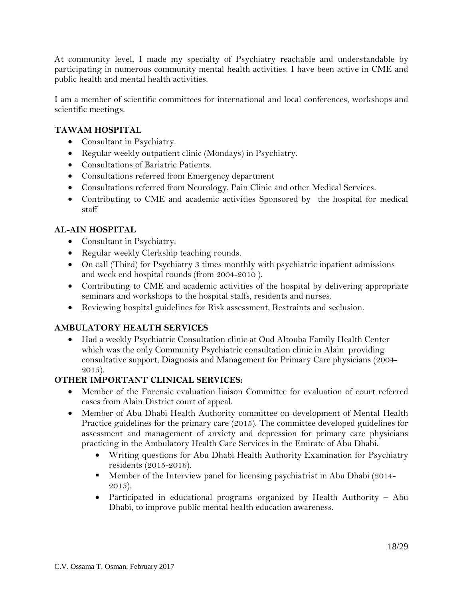At community level, I made my specialty of Psychiatry reachable and understandable by participating in numerous community mental health activities. I have been active in CME and public health and mental health activities.

I am a member of scientific committees for international and local conferences, workshops and scientific meetings.

## **TAWAM HOSPITAL**

- Consultant in Psychiatry.
- Regular weekly outpatient clinic (Mondays) in Psychiatry.
- Consultations of Bariatric Patients.
- Consultations referred from Emergency department
- Consultations referred from Neurology, Pain Clinic and other Medical Services.
- Contributing to CME and academic activities Sponsored by the hospital for medical staff

## **AL-AIN HOSPITAL**

- Consultant in Psychiatry.
- Regular weekly Clerkship teaching rounds.
- On call (Third) for Psychiatry 3 times monthly with psychiatric inpatient admissions and week end hospital rounds (from 2004-2010 ).
- Contributing to CME and academic activities of the hospital by delivering appropriate seminars and workshops to the hospital staffs, residents and nurses.
- Reviewing hospital guidelines for Risk assessment, Restraints and seclusion.

## **AMBULATORY HEALTH SERVICES**

• Had a weekly Psychiatric Consultation clinic at Oud Altouba Family Health Center which was the only Community Psychiatric consultation clinic in Alain providing consultative support, Diagnosis and Management for Primary Care physicians (2004- 2015).

## **OTHER IMPORTANT CLINICAL SERVICES:**

- Member of the Forensic evaluation liaison Committee for evaluation of court referred cases from Alain District court of appeal.
- Member of Abu Dhabi Health Authority committee on development of Mental Health Practice guidelines for the primary care (2015). The committee developed guidelines for assessment and management of anxiety and depression for primary care physicians practicing in the Ambulatory Health Care Services in the Emirate of Abu Dhabi.
	- Writing questions for Abu Dhabi Health Authority Examination for Psychiatry residents (2015-2016).
	- **Member of the Interview panel for licensing psychiatrist in Abu Dhabi (2014-**2015).
	- Participated in educational programs organized by Health Authority Abu Dhabi, to improve public mental health education awareness.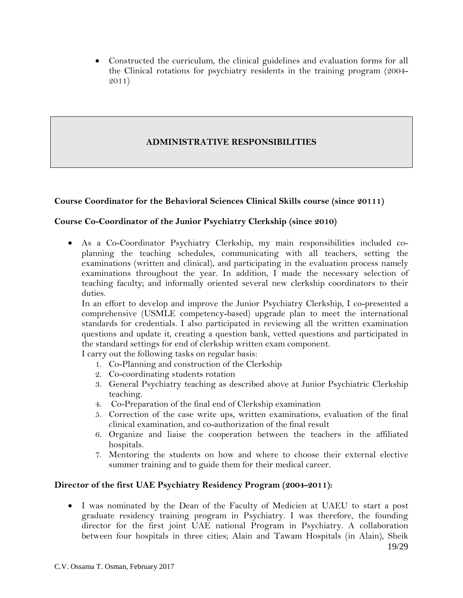• Constructed the curriculum, the clinical guidelines and evaluation forms for all the Clinical rotations for psychiatry residents in the training program (2004- 2011)

## **ADMINISTRATIVE RESPONSIBILITIES**

## **Course Coordinator for the Behavioral Sciences Clinical Skills course (since 20111)**

## **Course Co-Coordinator of the Junior Psychiatry Clerkship (since 2010)**

• As a Co-Coordinator Psychiatry Clerkship, my main responsibilities included coplanning the teaching schedules, communicating with all teachers, setting the examinations (written and clinical), and participating in the evaluation process namely examinations throughout the year. In addition, I made the necessary selection of teaching faculty; and informally oriented several new clerkship coordinators to their duties.

In an effort to develop and improve the Junior Psychiatry Clerkship, I co-presented a comprehensive (USMLE competency-based) upgrade plan to meet the international standards for credentials. I also participated in reviewing all the written examination questions and update it, creating a question bank, vetted questions and participated in the standard settings for end of clerkship written exam component.

I carry out the following tasks on regular basis:

- 1. Co-Planning and construction of the Clerkship
- 2. Co-coordinating students rotation
- 3. General Psychiatry teaching as described above at Junior Psychiatric Clerkship teaching.
- 4. Co-Preparation of the final end of Clerkship examination
- 5. Correction of the case write ups, written examinations, evaluation of the final clinical examination, and co-authorization of the final result
- 6. Organize and liaise the cooperation between the teachers in the affiliated hospitals.
- 7. Mentoring the students on how and where to choose their external elective summer training and to guide them for their medical career.

## **Director of the first UAE Psychiatry Residency Program (2004-2011):**

19/29 • I was nominated by the Dean of the Faculty of Medicien at UAEU to start a post graduate residency training program in Psychiatry. I was therefore, the founding director for the first joint UAE national Program in Psychiatry. A collaboration between four hospitals in three cities; Alain and Tawam Hospitals (in Alain), Sheik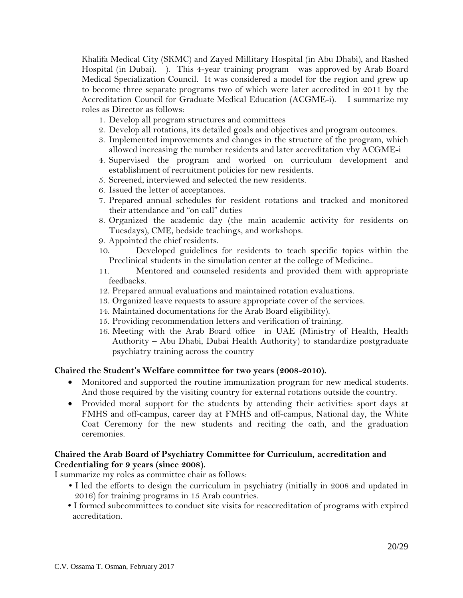Khalifa Medical City (SKMC) and Zayed Millitary Hospital (in Abu Dhabi), and Rashed Hospital (in Dubai). ). This 4-year training program was approved by Arab Board Medical Specialization Council. It was considered a model for the region and grew up to become three separate programs two of which were later accredited in 2011 by the Accreditation Council for Graduate Medical Education (ACGME-i). I summarize my roles as Director as follows:

- 1. Develop all program structures and committees
- 2. Develop all rotations, its detailed goals and objectives and program outcomes.
- 3. Implemented improvements and changes in the structure of the program, which allowed increasing the number residents and later accreditation vby ACGME-i
- 4. Supervised the program and worked on curriculum development and establishment of recruitment policies for new residents.
- 5. Screened, interviewed and selected the new residents.
- 6. Issued the letter of acceptances.
- 7. Prepared annual schedules for resident rotations and tracked and monitored their attendance and "on call" duties
- 8. Organized the academic day (the main academic activity for residents on Tuesdays), CME, bedside teachings, and workshops.
- 9. Appointed the chief residents.
- 10. Developed guidelines for residents to teach specific topics within the Preclinical students in the simulation center at the college of Medicine..
- 11. Mentored and counseled residents and provided them with appropriate feedbacks.
- 12. Prepared annual evaluations and maintained rotation evaluations.
- 13. Organized leave requests to assure appropriate cover of the services.
- 14. Maintained documentations for the Arab Board eligibility).
- 15. Providing recommendation letters and verification of training.
- 16. Meeting with the Arab Board office in UAE (Ministry of Health, Health Authority – Abu Dhabi, Dubai Health Authority) to standardize postgraduate psychiatry training across the country

#### **Chaired the Student's Welfare committee for two years (2008-2010).**

- Monitored and supported the routine immunization program for new medical students. And those required by the visiting country for external rotations outside the country.
- Provided moral support for the students by attending their activities: sport days at FMHS and off-campus, career day at FMHS and off-campus, National day, the White Coat Ceremony for the new students and reciting the oath, and the graduation ceremonies.

## **Chaired the Arab Board of Psychiatry Committee for Curriculum, accreditation and Credentialing for 9 years (since 2008).**

I summarize my roles as committee chair as follows:

- **•** I led the efforts to design the curriculum in psychiatry (initially in 2008 and updated in 2016) for training programs in 15 Arab countries.
- I formed subcommittees to conduct site visits for reaccreditation of programs with expired accreditation.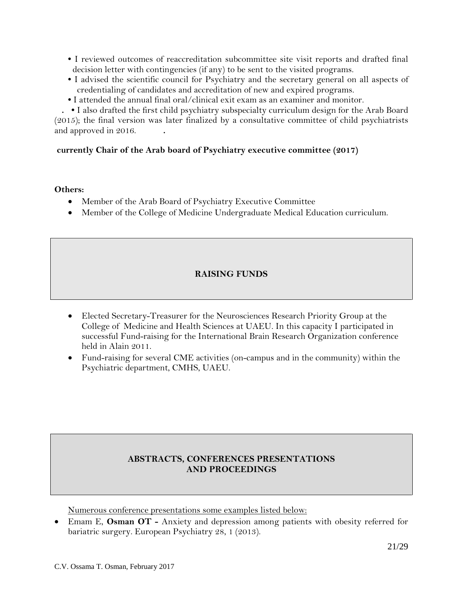- I reviewed outcomes of reaccreditation subcommittee site visit reports and drafted final decision letter with contingencies (if any) to be sent to the visited programs.
- I advised the scientific council for Psychiatry and the secretary general on all aspects of credentialing of candidates and accreditation of new and expired programs.
- **•** I attended the annual final oral/clinical exit exam as an examiner and monitor.

 **. •** I also drafted the first child psychiatry subspecialty curriculum design for the Arab Board (2015); the final version was later finalized by a consultative committee of child psychiatrists and approved in 2016. **.**

## **currently Chair of the Arab board of Psychiatry executive committee (2017)**

#### **Others:**

- Member of the Arab Board of Psychiatry Executive Committee
- Member of the College of Medicine Undergraduate Medical Education curriculum.

## **RAISING FUNDS**

- Elected Secretary-Treasurer for the Neurosciences Research Priority Group at the College of Medicine and Health Sciences at UAEU. In this capacity I participated in successful Fund-raising for the International Brain Research Organization conference held in Alain 2011.
- Fund-raising for several CME activities (on-campus and in the community) within the Psychiatric department, CMHS, UAEU.

## **ABSTRACTS, CONFERENCES PRESENTATIONS AND PROCEEDINGS**

Numerous conference presentations some examples listed below:

• Emam E, **Osman OT -** Anxiety and depression among patients with obesity referred for bariatric surgery. European Psychiatry 28, 1 (2013).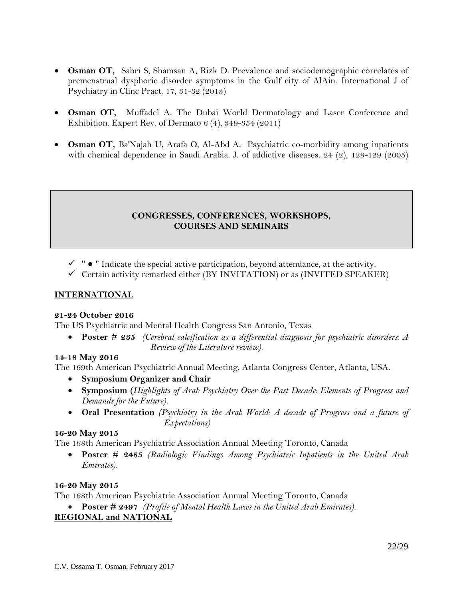- **Osman OT,** Sabri S, Shamsan A, Rizk D. Prevalence and sociodemographic correlates of premenstrual dysphoric disorder symptoms in the Gulf city of AlAin. International J of Psychiatry in Clinc Pract. 17, 31-32 (2013)
- **Osman OT,** Muffadel A. The Dubai World Dermatology and Laser Conference and Exhibition. Expert Rev. of Dermato 6 (4), 349-354 (2011)
- **Osman OT,** Ba'Najah U, Arafa O, Al-Abd A. Psychiatric co-morbidity among inpatients with chemical dependence in Saudi Arabia. J. of addictive diseases. 24 (2), 129-129 (2005)

## **CONGRESSES, CONFERENCES, WORKSHOPS, COURSES AND SEMINARS**

- $\checkmark$  "  $\bullet$  " Indicate the special active participation, beyond attendance, at the activity.
- $\checkmark$  Certain activity remarked either (BY INVITATION) or as (INVITED SPEAKER)

## **INTERNATIONAL**

## **21-24 October 2016**

The US Psychiatric and Mental Health Congress San Antonio, Texas

• **Poster # 235** *(Cerebral calcification as a differential diagnosis for psychiatric disorders: A Review of the Literature review).*

## **14-18 May 2016**

The 169th American Psychiatric Annual Meeting, Atlanta Congress Center, Atlanta, USA.

- **Symposium Organizer and Chair**
- **Symposium (***Highlights of Arab Psychiatry Over the Past Decade: Elements of Progress and Demands for the Future).*
- **Oral Presentation** *(Psychiatry in the Arab World: A decade of Progress and a future of Expectations)*

## **16-20 May 2015**

The 168th American Psychiatric Association Annual Meeting Toronto, Canada

• **Poster # 2485** *(Radiologic Findings Among Psychiatric Inpatients in the United Arab Emirates).*

## **16-20 May 2015**

The 168th American Psychiatric Association Annual Meeting Toronto, Canada

• **Poster # 2497** *(Profile of Mental Health Laws in the United Arab Emirates).* **REGIONAL and NATIONAL**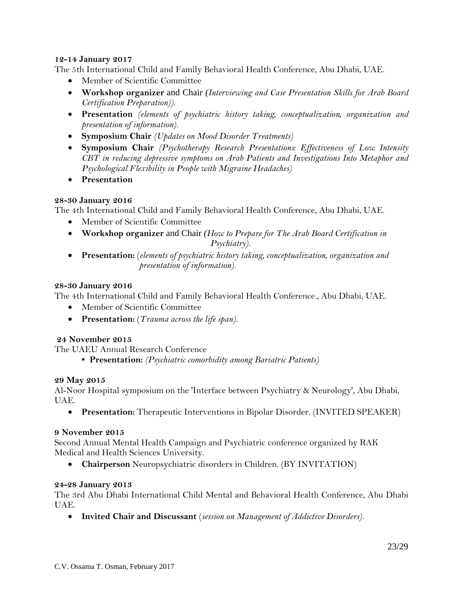## **12-14 January 2017**

The 5th International Child and Family Behavioral Health Conference, Abu Dhabi, UAE.

- Member of Scientific Committee
- **Workshop organizer** and Chair *(Interviewing and Case Presentation Skills for Arab Board Certification Preparation)).*
- **Presentation** *(elements of psychiatric history taking, conceptualization, organization and presentation of information).*
- **Symposium Chair** *(Updates on Mood Disorder Treatments)*
- **Symposium Chair** *(Psychotherapy Research Presentations: Effectiveness of Low Intensity CBT in reducing depressive symptoms on Arab Patients and Investigations Into Metaphor and Psychological Flexibility in People with Migraine Headaches)*
- **Presentation**

#### **28-30 January 2016**

The 4th International Child and Family Behavioral Health Conference, Abu Dhabi, UAE.

- Member of Scientific Committee
- **Workshop organizer** and Chair *(How to Prepare for The Arab Board Certification in Psychiatry).*
- **Presentation:** (*elements of psychiatric history taking, conceptualization, organization and presentation of information).*

#### **28-30 January 2016**

The 4th International Child and Family Behavioral Health Conference., Abu Dhabi, UAE.

- Member of Scientific Committee
- **Presentation:** (*Trauma across the life span).*

#### **24 November 2015**

The UAEU Annual Research Conference

**• Presentation:** *(Psychiatric comorbidity among Bariatric Patients)*

#### **29 May 2015**

Al-Noor Hospital symposium on the 'Interface between Psychiatry & Neurology', Abu Dhabi, UAE.

• **Presentation:** Therapeutic Interventions in Bipolar Disorder. (INVITED SPEAKER)

#### **9 November 2015**

Second Annual Mental Health Campaign and Psychiatric conference organized by RAK Medical and Health Sciences University.

• **Chairperson** Neuropsychiatric disorders in Children. (BY INVITATION)

#### **24-28 January 2013**

The 3rd Abu Dhabi International Child Mental and Behavioral Health Conference, Abu Dhabi UAE.

• **Invited Chair and Discussant** (*session on Management of Addictive Disorders).*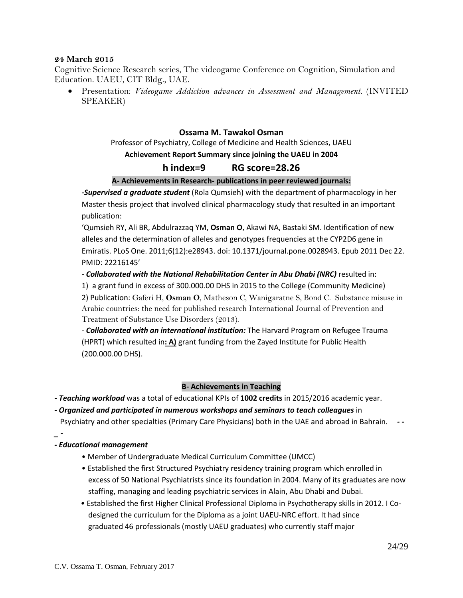#### **24 March 2015**

Cognitive Science Research series, The videogame Conference on Cognition, Simulation and Education. UAEU, CIT Bldg., UAE.

• Presentation: *Videogame Addiction advances in Assessment and Management.* (INVITED SPEAKER)

#### **Ossama M. Tawakol Osman**

#### Professor of Psychiatry, College of Medicine and Health Sciences, UAEU **Achievement Report Summary since joining the UAEU in 2004**

## **h index=9 RG score=28.26**

#### **A- Achievements in Research- publications in peer reviewed journals:**

*-Supervised a graduate student* (Rola Qumsieh) with the department of pharmacology in her Master thesis project that involved clinical pharmacology study that resulted in an important publication:

'Qumsieh RY, Ali BR, Abdulrazzaq YM, **Osman O**, Akawi NA, Bastaki SM. Identification of new alleles and the determination of alleles and genotypes frequencies at the CYP2D6 gene in Emiratis. PLoS One. 2011;6(12):e28943. doi: 10.1371/journal.pone.0028943. Epub 2011 Dec 22. PMID: 22216145'

#### - *Collaborated with the National Rehabilitation Center in Abu Dhabi (NRC)* resulted in:

1) a grant fund in excess of 300.000.00 DHS in 2015 to the College (Community Medicine)

2) Publication: Gaferi H, **Osman O**, Matheson C, Wanigaratne S, Bond C. Substance misuse in Arabic countries: the need for published research International Journal of Prevention and Treatment of Substance Use Disorders (2013).

- *Collaborated with an international institution:* The Harvard Program on Refugee Trauma (HPRT) which resulted in**: A)** grant funding from the Zayed Institute for Public Health (200.000.00 DHS).

#### **B- Achievements in Teaching**

*- Teaching workload* was a total of educational KPIs of **1002 credits** in 2015/2016 academic year.

#### **-** *Organized and participated in numerous workshops and seminars to teach colleagues* in

Psychiatry and other specialties (Primary Care Physicians) both in the UAE and abroad in Bahrain. *- -*

#### *- Educational management*

*\_ -*

- Member of Undergraduate Medical Curriculum Committee (UMCC)
- Established the first Structured Psychiatry residency training program which enrolled in excess of 50 National Psychiatrists since its foundation in 2004. Many of its graduates are now staffing, managing and leading psychiatric services in Alain, Abu Dhabi and Dubai.
- Established the first Higher Clinical Professional Diploma in Psychotherapy skills in 2012. I Co designed the curriculum for the Diploma as a joint UAEU-NRC effort. It had since graduated 46 professionals (mostly UAEU graduates) who currently staff major